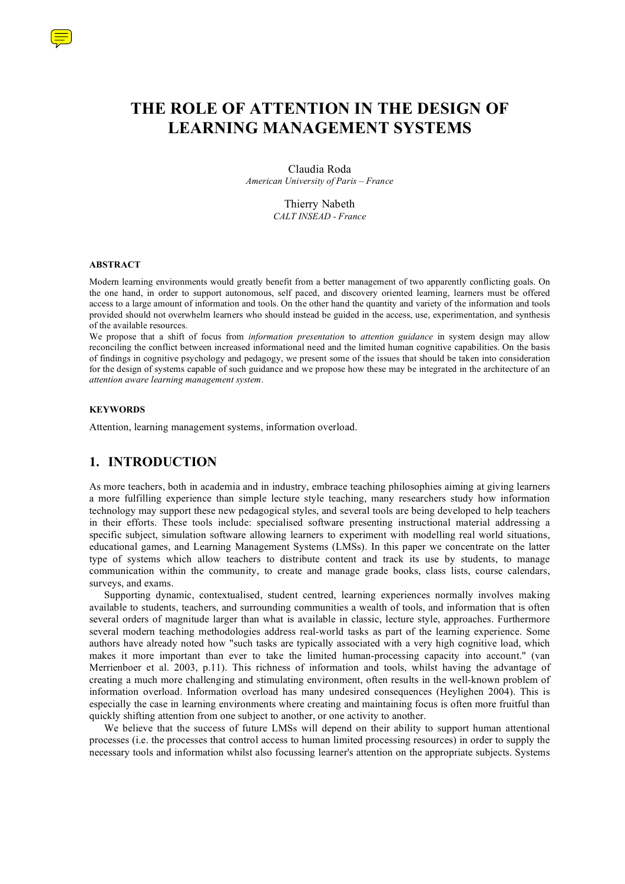

Claudia Roda *American University of Paris – France*

> Thierry Nabeth *CALT INSEAD - France*

#### **ABSTRACT**

Modern learning environments would greatly benefit from a better management of two apparently conflicting goals. On the one hand, in order to support autonomous, self paced, and discovery oriented learning, learners must be offered access to a large amount of information and tools. On the other hand the quantity and variety of the information and tools provided should not overwhelm learners who should instead be guided in the access, use, experimentation, and synthesis of the available resources.

We propose that a shift of focus from *information presentation* to *attention guidance* in system design may allow reconciling the conflict between increased informational need and the limited human cognitive capabilities. On the basis of findings in cognitive psychology and pedagogy, we present some of the issues that should be taken into consideration for the design of systems capable of such guidance and we propose how these may be integrated in the architecture of an *attention aware learning management system*.

#### **KEYWORDS**

Attention, learning management systems, information overload.

### **1. INTRODUCTION**

As more teachers, both in academia and in industry, embrace teaching philosophies aiming at giving learners a more fulfilling experience than simple lecture style teaching, many researchers study how information technology may support these new pedagogical styles, and several tools are being developed to help teachers in their efforts. These tools include: specialised software presenting instructional material addressing a specific subject, simulation software allowing learners to experiment with modelling real world situations, educational games, and Learning Management Systems (LMSs). In this paper we concentrate on the latter type of systems which allow teachers to distribute content and track its use by students, to manage communication within the community, to create and manage grade books, class lists, course calendars, surveys, and exams.

Supporting dynamic, contextualised, student centred, learning experiences normally involves making available to students, teachers, and surrounding communities a wealth of tools, and information that is often several orders of magnitude larger than what is available in classic, lecture style, approaches. Furthermore several modern teaching methodologies address real-world tasks as part of the learning experience. Some authors have already noted how "such tasks are typically associated with a very high cognitive load, which makes it more important than ever to take the limited human-processing capacity into account." (van Merrienboer et al. 2003, p.11). This richness of information and tools, whilst having the advantage of creating a much more challenging and stimulating environment, often results in the well-known problem of information overload. Information overload has many undesired consequences (Heylighen 2004). This is especially the case in learning environments where creating and maintaining focus is often more fruitful than quickly shifting attention from one subject to another, or one activity to another.

We believe that the success of future LMSs will depend on their ability to support human attentional processes (i.e. the processes that control access to human limited processing resources) in order to supply the necessary tools and information whilst also focussing learner's attention on the appropriate subjects. Systems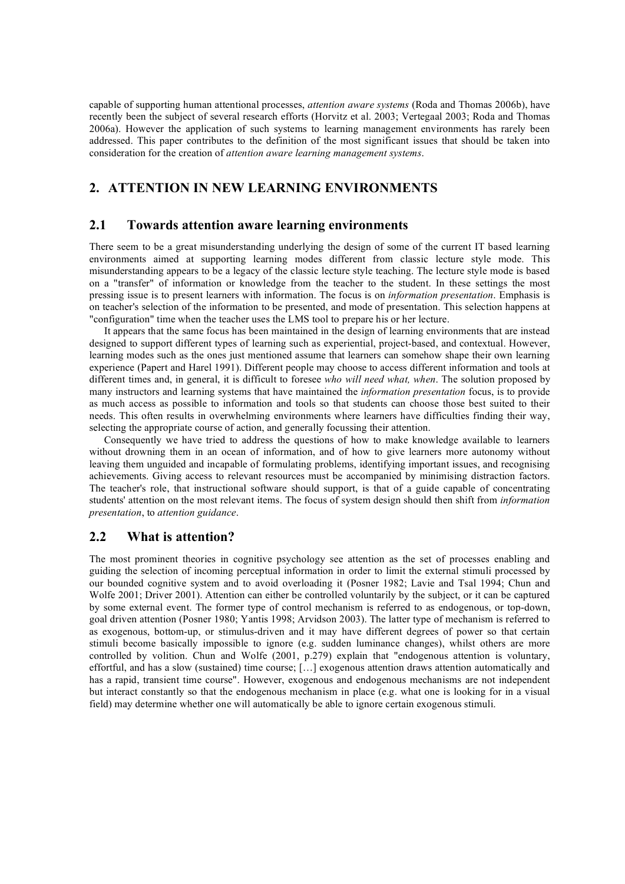capable of supporting human attentional processes, *attention aware systems* (Roda and Thomas 2006b), have recently been the subject of several research efforts (Horvitz et al. 2003; Vertegaal 2003; Roda and Thomas 2006a). However the application of such systems to learning management environments has rarely been addressed. This paper contributes to the definition of the most significant issues that should be taken into consideration for the creation of *attention aware learning management systems*.

# **2. ATTENTION IN NEW LEARNING ENVIRONMENTS**

### **2.1 Towards attention aware learning environments**

There seem to be a great misunderstanding underlying the design of some of the current IT based learning environments aimed at supporting learning modes different from classic lecture style mode. This misunderstanding appears to be a legacy of the classic lecture style teaching. The lecture style mode is based on a "transfer" of information or knowledge from the teacher to the student. In these settings the most pressing issue is to present learners with information. The focus is on *information presentation*. Emphasis is on teacher's selection of the information to be presented, and mode of presentation. This selection happens at "configuration" time when the teacher uses the LMS tool to prepare his or her lecture.

It appears that the same focus has been maintained in the design of learning environments that are instead designed to support different types of learning such as experiential, project-based, and contextual. However, learning modes such as the ones just mentioned assume that learners can somehow shape their own learning experience (Papert and Harel 1991). Different people may choose to access different information and tools at different times and, in general, it is difficult to foresee *who will need what, when*. The solution proposed by many instructors and learning systems that have maintained the *information presentation* focus, is to provide as much access as possible to information and tools so that students can choose those best suited to their needs. This often results in overwhelming environments where learners have difficulties finding their way, selecting the appropriate course of action, and generally focussing their attention.

Consequently we have tried to address the questions of how to make knowledge available to learners without drowning them in an ocean of information, and of how to give learners more autonomy without leaving them unguided and incapable of formulating problems, identifying important issues, and recognising achievements. Giving access to relevant resources must be accompanied by minimising distraction factors. The teacher's role, that instructional software should support, is that of a guide capable of concentrating students' attention on the most relevant items. The focus of system design should then shift from *information presentation*, to *attention guidance*.

### **2.2 What is attention?**

The most prominent theories in cognitive psychology see attention as the set of processes enabling and guiding the selection of incoming perceptual information in order to limit the external stimuli processed by our bounded cognitive system and to avoid overloading it (Posner 1982; Lavie and Tsal 1994; Chun and Wolfe 2001; Driver 2001). Attention can either be controlled voluntarily by the subject, or it can be captured by some external event. The former type of control mechanism is referred to as endogenous, or top-down, goal driven attention (Posner 1980; Yantis 1998; Arvidson 2003). The latter type of mechanism is referred to as exogenous, bottom-up, or stimulus-driven and it may have different degrees of power so that certain stimuli become basically impossible to ignore (e.g. sudden luminance changes), whilst others are more controlled by volition. Chun and Wolfe (2001, p.279) explain that "endogenous attention is voluntary, effortful, and has a slow (sustained) time course; […] exogenous attention draws attention automatically and has a rapid, transient time course". However, exogenous and endogenous mechanisms are not independent but interact constantly so that the endogenous mechanism in place (e.g. what one is looking for in a visual field) may determine whether one will automatically be able to ignore certain exogenous stimuli.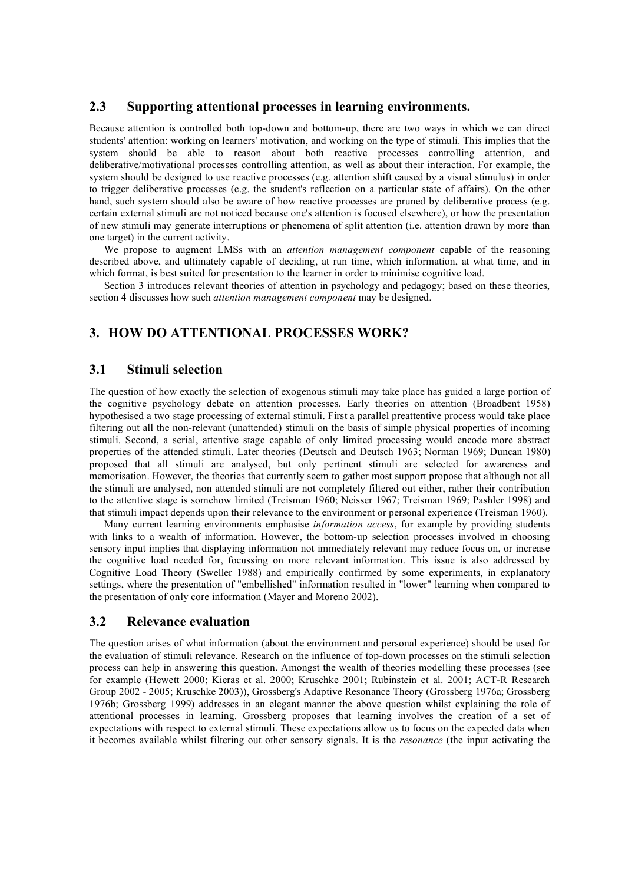## **2.3 Supporting attentional processes in learning environments.**

Because attention is controlled both top-down and bottom-up, there are two ways in which we can direct students' attention: working on learners' motivation, and working on the type of stimuli. This implies that the system should be able to reason about both reactive processes controlling attention, and deliberative/motivational processes controlling attention, as well as about their interaction. For example, the system should be designed to use reactive processes (e.g. attention shift caused by a visual stimulus) in order to trigger deliberative processes (e.g. the student's reflection on a particular state of affairs). On the other hand, such system should also be aware of how reactive processes are pruned by deliberative process (e.g. certain external stimuli are not noticed because one's attention is focused elsewhere), or how the presentation of new stimuli may generate interruptions or phenomena of split attention (i.e. attention drawn by more than one target) in the current activity.

We propose to augment LMSs with an *attention management component* capable of the reasoning described above, and ultimately capable of deciding, at run time, which information, at what time, and in which format, is best suited for presentation to the learner in order to minimise cognitive load.

Section 3 introduces relevant theories of attention in psychology and pedagogy; based on these theories, section 4 discusses how such *attention management component* may be designed.

# **3. HOW DO ATTENTIONAL PROCESSES WORK?**

### **3.1 Stimuli selection**

The question of how exactly the selection of exogenous stimuli may take place has guided a large portion of the cognitive psychology debate on attention processes. Early theories on attention (Broadbent 1958) hypothesised a two stage processing of external stimuli. First a parallel preattentive process would take place filtering out all the non-relevant (unattended) stimuli on the basis of simple physical properties of incoming stimuli. Second, a serial, attentive stage capable of only limited processing would encode more abstract properties of the attended stimuli. Later theories (Deutsch and Deutsch 1963; Norman 1969; Duncan 1980) proposed that all stimuli are analysed, but only pertinent stimuli are selected for awareness and memorisation. However, the theories that currently seem to gather most support propose that although not all the stimuli are analysed, non attended stimuli are not completely filtered out either, rather their contribution to the attentive stage is somehow limited (Treisman 1960; Neisser 1967; Treisman 1969; Pashler 1998) and that stimuli impact depends upon their relevance to the environment or personal experience (Treisman 1960).

Many current learning environments emphasise *information access*, for example by providing students with links to a wealth of information. However, the bottom-up selection processes involved in choosing sensory input implies that displaying information not immediately relevant may reduce focus on, or increase the cognitive load needed for, focussing on more relevant information. This issue is also addressed by Cognitive Load Theory (Sweller 1988) and empirically confirmed by some experiments, in explanatory settings, where the presentation of "embellished" information resulted in "lower" learning when compared to the presentation of only core information (Mayer and Moreno 2002).

### **3.2 Relevance evaluation**

The question arises of what information (about the environment and personal experience) should be used for the evaluation of stimuli relevance. Research on the influence of top-down processes on the stimuli selection process can help in answering this question. Amongst the wealth of theories modelling these processes (see for example (Hewett 2000; Kieras et al. 2000; Kruschke 2001; Rubinstein et al. 2001; ACT-R Research Group 2002 - 2005; Kruschke 2003)), Grossberg's Adaptive Resonance Theory (Grossberg 1976a; Grossberg 1976b; Grossberg 1999) addresses in an elegant manner the above question whilst explaining the role of attentional processes in learning. Grossberg proposes that learning involves the creation of a set of expectations with respect to external stimuli. These expectations allow us to focus on the expected data when it becomes available whilst filtering out other sensory signals. It is the *resonance* (the input activating the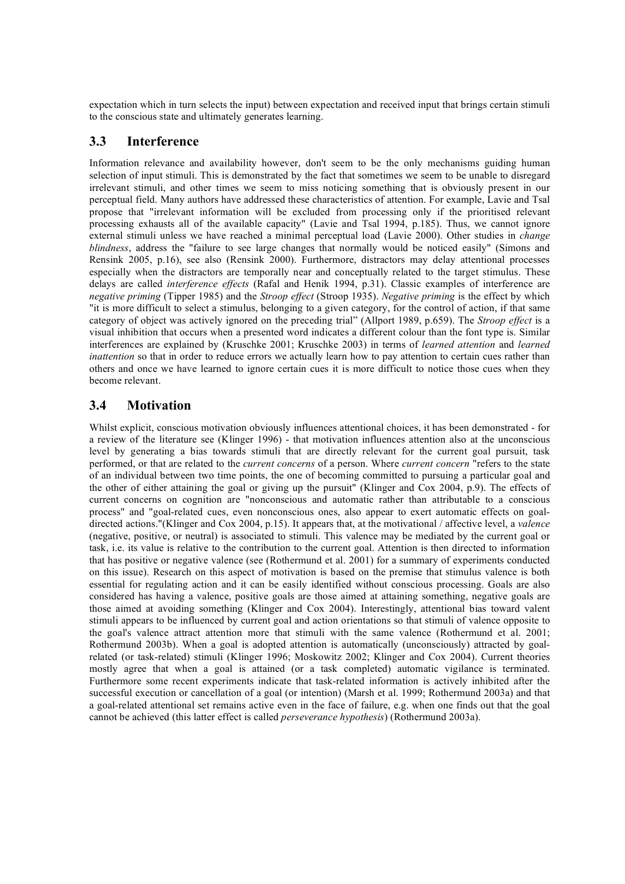expectation which in turn selects the input) between expectation and received input that brings certain stimuli to the conscious state and ultimately generates learning.

# **3.3 Interference**

Information relevance and availability however, don't seem to be the only mechanisms guiding human selection of input stimuli. This is demonstrated by the fact that sometimes we seem to be unable to disregard irrelevant stimuli, and other times we seem to miss noticing something that is obviously present in our perceptual field. Many authors have addressed these characteristics of attention. For example, Lavie and Tsal propose that "irrelevant information will be excluded from processing only if the prioritised relevant processing exhausts all of the available capacity" (Lavie and Tsal 1994, p.185). Thus, we cannot ignore external stimuli unless we have reached a minimal perceptual load (Lavie 2000). Other studies in *change blindness*, address the "failure to see large changes that normally would be noticed easily" (Simons and Rensink 2005, p.16), see also (Rensink 2000). Furthermore, distractors may delay attentional processes especially when the distractors are temporally near and conceptually related to the target stimulus. These delays are called *interference effects* (Rafal and Henik 1994, p.31). Classic examples of interference are *negative priming* (Tipper 1985) and the *Stroop effect* (Stroop 1935). *Negative priming* is the effect by which "it is more difficult to select a stimulus, belonging to a given category, for the control of action, if that same category of object was actively ignored on the preceding trial" (Allport 1989, p.659). The *Stroop effect* is a visual inhibition that occurs when a presented word indicates a different colour than the font type is. Similar interferences are explained by (Kruschke 2001; Kruschke 2003) in terms of *learned attention* and *learned inattention* so that in order to reduce errors we actually learn how to pay attention to certain cues rather than others and once we have learned to ignore certain cues it is more difficult to notice those cues when they become relevant.

# **3.4 Motivation**

Whilst explicit, conscious motivation obviously influences attentional choices, it has been demonstrated - for a review of the literature see (Klinger 1996) - that motivation influences attention also at the unconscious level by generating a bias towards stimuli that are directly relevant for the current goal pursuit, task performed, or that are related to the *current concerns* of a person. Where *current concern* "refers to the state of an individual between two time points, the one of becoming committed to pursuing a particular goal and the other of either attaining the goal or giving up the pursuit" (Klinger and Cox 2004, p.9). The effects of current concerns on cognition are "nonconscious and automatic rather than attributable to a conscious process" and "goal-related cues, even nonconscious ones, also appear to exert automatic effects on goaldirected actions."(Klinger and Cox 2004, p.15). It appears that, at the motivational / affective level, a *valence* (negative, positive, or neutral) is associated to stimuli. This valence may be mediated by the current goal or task, i.e. its value is relative to the contribution to the current goal. Attention is then directed to information that has positive or negative valence (see (Rothermund et al. 2001) for a summary of experiments conducted on this issue). Research on this aspect of motivation is based on the premise that stimulus valence is both essential for regulating action and it can be easily identified without conscious processing. Goals are also considered has having a valence, positive goals are those aimed at attaining something, negative goals are those aimed at avoiding something (Klinger and Cox 2004). Interestingly, attentional bias toward valent stimuli appears to be influenced by current goal and action orientations so that stimuli of valence opposite to the goal's valence attract attention more that stimuli with the same valence (Rothermund et al. 2001; Rothermund 2003b). When a goal is adopted attention is automatically (unconsciously) attracted by goalrelated (or task-related) stimuli (Klinger 1996; Moskowitz 2002; Klinger and Cox 2004). Current theories mostly agree that when a goal is attained (or a task completed) automatic vigilance is terminated. Furthermore some recent experiments indicate that task-related information is actively inhibited after the successful execution or cancellation of a goal (or intention) (Marsh et al. 1999; Rothermund 2003a) and that a goal-related attentional set remains active even in the face of failure, e.g. when one finds out that the goal cannot be achieved (this latter effect is called *perseverance hypothesis*) (Rothermund 2003a).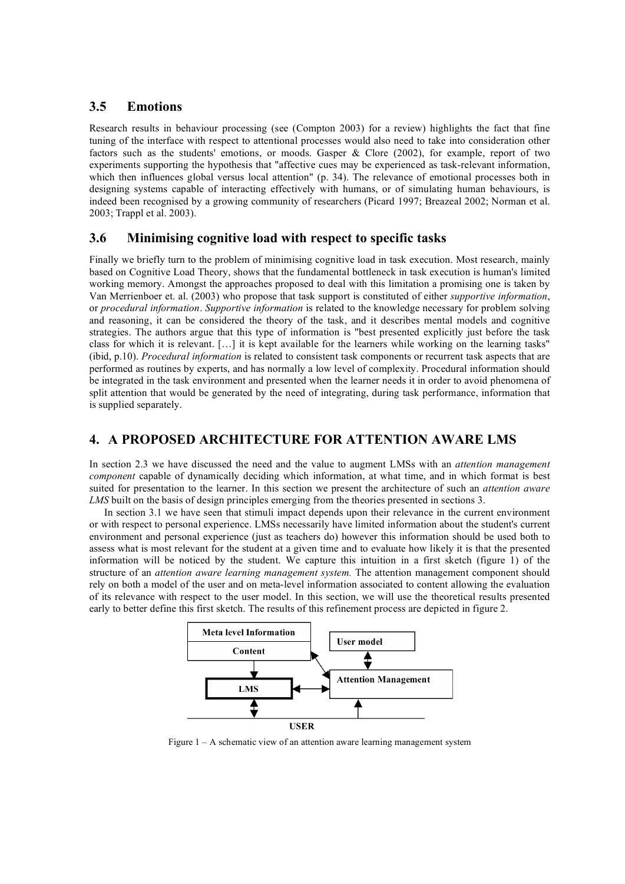# **3.5 Emotions**

Research results in behaviour processing (see (Compton 2003) for a review) highlights the fact that fine tuning of the interface with respect to attentional processes would also need to take into consideration other factors such as the students' emotions, or moods. Gasper & Clore (2002), for example, report of two experiments supporting the hypothesis that "affective cues may be experienced as task-relevant information, which then influences global versus local attention" (p. 34). The relevance of emotional processes both in designing systems capable of interacting effectively with humans, or of simulating human behaviours, is indeed been recognised by a growing community of researchers (Picard 1997; Breazeal 2002; Norman et al. 2003; Trappl et al. 2003).

## **3.6 Minimising cognitive load with respect to specific tasks**

Finally we briefly turn to the problem of minimising cognitive load in task execution. Most research, mainly based on Cognitive Load Theory, shows that the fundamental bottleneck in task execution is human's limited working memory. Amongst the approaches proposed to deal with this limitation a promising one is taken by Van Merrienboer et. al. (2003) who propose that task support is constituted of either *supportive information*, or *procedural information*. *Supportive information* is related to the knowledge necessary for problem solving and reasoning, it can be considered the theory of the task, and it describes mental models and cognitive strategies. The authors argue that this type of information is "best presented explicitly just before the task class for which it is relevant. […] it is kept available for the learners while working on the learning tasks" (ibid, p.10). *Procedural information* is related to consistent task components or recurrent task aspects that are performed as routines by experts, and has normally a low level of complexity. Procedural information should be integrated in the task environment and presented when the learner needs it in order to avoid phenomena of split attention that would be generated by the need of integrating, during task performance, information that is supplied separately.

# **4. A PROPOSED ARCHITECTURE FOR ATTENTION AWARE LMS**

In section 2.3 we have discussed the need and the value to augment LMSs with an *attention management component* capable of dynamically deciding which information, at what time, and in which format is best suited for presentation to the learner. In this section we present the architecture of such an *attention aware LMS* built on the basis of design principles emerging from the theories presented in sections 3.

In section 3.1 we have seen that stimuli impact depends upon their relevance in the current environment or with respect to personal experience. LMSs necessarily have limited information about the student's current environment and personal experience (just as teachers do) however this information should be used both to assess what is most relevant for the student at a given time and to evaluate how likely it is that the presented information will be noticed by the student. We capture this intuition in a first sketch (figure 1) of the structure of an *attention aware learning management system.* The attention management component should rely on both a model of the user and on meta-level information associated to content allowing the evaluation of its relevance with respect to the user model. In this section, we will use the theoretical results presented early to better define this first sketch. The results of this refinement process are depicted in figure 2.



Figure 1 – A schematic view of an attention aware learning management system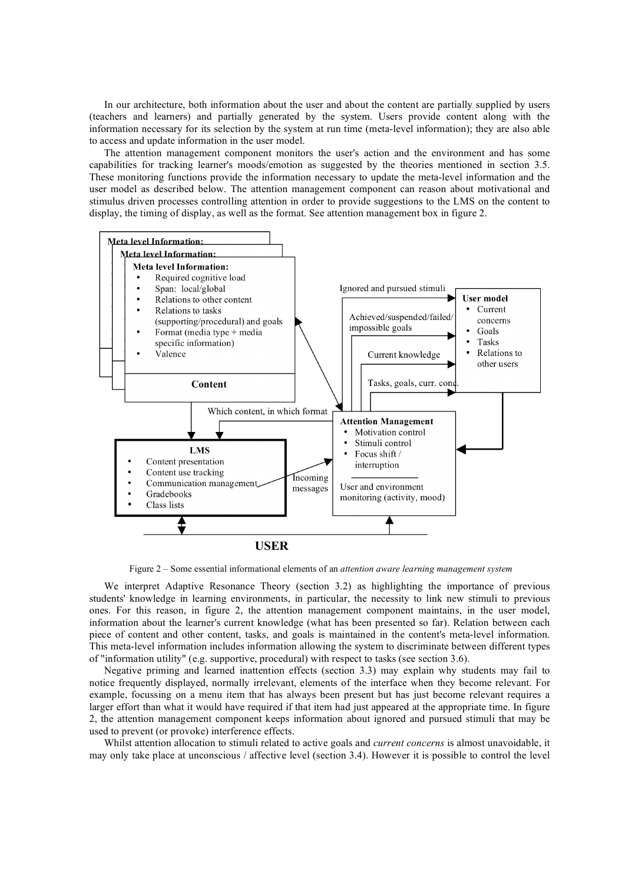In our architecture, both information about the user and about the content are partially supplied by users (teachers and learners) and partially generated by the system. Users provide content along with the information necessary for its selection by the system at run time (meta-level information); they are also able to access and update information in the user model.

The attention management component monitors the user's action and the environment and has some capabilities for tracking learner's moods/emotion as suggested by the theories mentioned in section 3.5. These monitoring functions provide the information necessary to update the meta-level information and the user model as described below. The attention management component can reason about motivational and stimulus driven processes controlling attention in order to provide suggestions to the LMS on the content to display, the timing of display, as well as the format. See attention management box in figure 2.



Figure 2 – Some essential informational elements of an *attention aware learning management system*

We interpret Adaptive Resonance Theory (section 3.2) as highlighting the importance of previous students' knowledge in learning environments, in particular, the necessity to link new stimuli to previous ones. For this reason, in figure 2, the attention management component maintains, in the user model, information about the learner's current knowledge (what has been presented so far). Relation between each piece of content and other content, tasks, and goals is maintained in the content's meta-level information. This meta-level information includes information allowing the system to discriminate between different types of "information utility" (e.g. supportive, procedural) with respect to tasks (see section 3.6).

Negative priming and learned inattention effects (section 3.3) may explain why students may fail to notice frequently displayed, normally irrelevant, elements of the interface when they become relevant. For example, focussing on a menu item that has always been present but has just become relevant requires a larger effort than what it would have required if that item had just appeared at the appropriate time. In figure 2, the attention management component keeps information about ignored and pursued stimuli that may be used to prevent (or provoke) interference effects.

Whilst attention allocation to stimuli related to active goals and *current concerns* is almost unavoidable, it may only take place at unconscious / affective level (section 3.4). However it is possible to control the level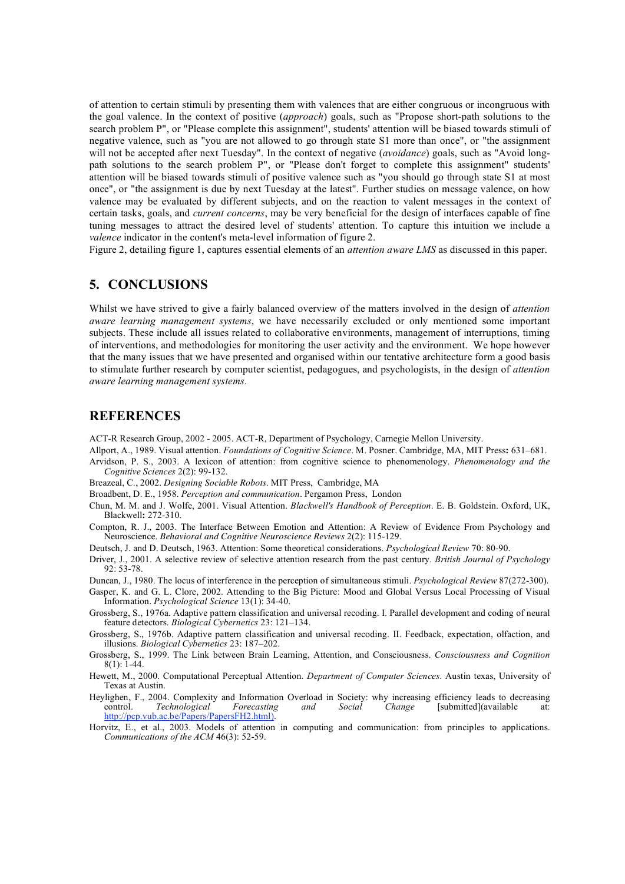of attention to certain stimuli by presenting them with valences that are either congruous or incongruous with the goal valence. In the context of positive (*approach*) goals, such as "Propose short-path solutions to the search problem P", or "Please complete this assignment", students' attention will be biased towards stimuli of negative valence, such as "you are not allowed to go through state S1 more than once", or "the assignment will not be accepted after next Tuesday". In the context of negative (*avoidance*) goals, such as "Avoid longpath solutions to the search problem P", or "Please don't forget to complete this assignment" students' attention will be biased towards stimuli of positive valence such as "you should go through state S1 at most once", or "the assignment is due by next Tuesday at the latest". Further studies on message valence, on how valence may be evaluated by different subjects, and on the reaction to valent messages in the context of certain tasks, goals, and *current concerns*, may be very beneficial for the design of interfaces capable of fine tuning messages to attract the desired level of students' attention. To capture this intuition we include a *valence* indicator in the content's meta-level information of figure 2.

Figure 2, detailing figure 1, captures essential elements of an *attention aware LMS* as discussed in this paper.

### **5. CONCLUSIONS**

Whilst we have strived to give a fairly balanced overview of the matters involved in the design of *attention aware learning management systems*, we have necessarily excluded or only mentioned some important subjects. These include all issues related to collaborative environments, management of interruptions, timing of interventions, and methodologies for monitoring the user activity and the environment. We hope however that the many issues that we have presented and organised within our tentative architecture form a good basis to stimulate further research by computer scientist, pedagogues, and psychologists, in the design of *attention aware learning management systems*.

### **REFERENCES**

ACT-R Research Group, 2002 - 2005. ACT-R, Department of Psychology, Carnegie Mellon University.

Allport, A., 1989. Visual attention. *Foundations of Cognitive Science*. M. Posner. Cambridge, MA, MIT Press**:** 631–681. Arvidson, P. S., 2003. A lexicon of attention: from cognitive science to phenomenology. *Phenomenology and the Cognitive Sciences* 2(2): 99-132.

Breazeal, C., 2002. *Designing Sociable Robots*. MIT Press, Cambridge, MA

Broadbent, D. E., 1958. *Perception and communication*. Pergamon Press, London

Chun, M. M. and J. Wolfe, 2001. Visual Attention. *Blackwell's Handbook of Perception*. E. B. Goldstein. Oxford, UK, Blackwell**:** 272-310.

Compton, R. J., 2003. The Interface Between Emotion and Attention: A Review of Evidence From Psychology and Neuroscience. *Behavioral and Cognitive Neuroscience Reviews* 2(2): 115-129.

Deutsch, J. and D. Deutsch, 1963. Attention: Some theoretical considerations. *Psychological Review* 70: 80-90.

Driver, J., 2001. A selective review of selective attention research from the past century. *British Journal of Psychology* 92: 53-78.

Duncan, J., 1980. The locus of interference in the perception of simultaneous stimuli. *Psychological Review* 87(272-300).

- Gasper, K. and G. L. Clore, 2002. Attending to the Big Picture: Mood and Global Versus Local Processing of Visual Information. *Psychological Science* 13(1): 34-40.
- Grossberg, S., 1976a. Adaptive pattern classification and universal recoding. I. Parallel development and coding of neural feature detectors. *Biological Cybernetics* 23: 121–134.
- Grossberg, S., 1976b. Adaptive pattern classification and universal recoding. II. Feedback, expectation, olfaction, and illusions. *Biological Cybernetics* 23: 187–202.
- Grossberg, S., 1999. The Link between Brain Learning, Attention, and Consciousness. *Consciousness and Cognition* 8(1): 1-44.
- Hewett, M., 2000. Computational Perceptual Attention. *Department of Computer Sciences*. Austin texas, University of Texas at Austin.
- Heylighen, F., 2004. Complexity and Information Overload in Society: why increasing efficiency leads to decreasing control. Technological Forecasting and Social Change [submitted](available at: http://pcp.vub.ac.be/Papers/PapersFH2.html).
- Horvitz, E., et al., 2003. Models of attention in computing and communication: from principles to applications. *Communications of the ACM* 46(3): 52-59.